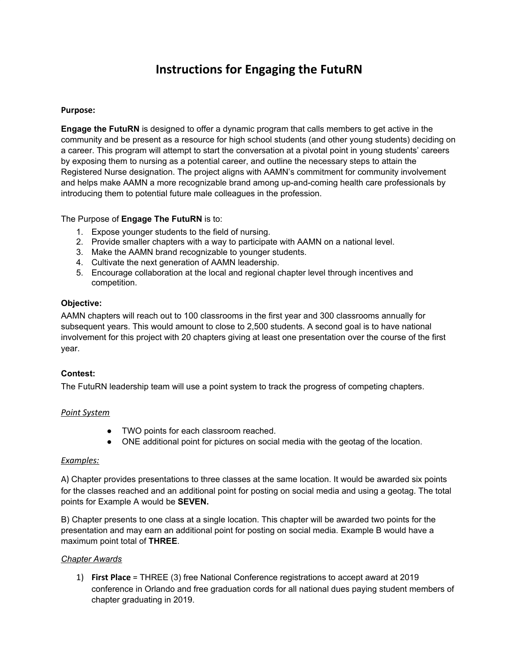# **Instructions for Engaging the FutuRN**

## **Purpose:**

**Engage the FutuRN** is designed to offer a dynamic program that calls members to get active in the community and be present as a resource for high school students (and other young students) deciding on a career. This program will attempt to start the conversation at a pivotal point in young students' careers by exposing them to nursing as a potential career, and outline the necessary steps to attain the Registered Nurse designation. The project aligns with AAMN's commitment for community involvement and helps make AAMN a more recognizable brand among up-and-coming health care professionals by introducing them to potential future male colleagues in the profession.

## The Purpose of **Engage The FutuRN** is to:

- 1. Expose younger students to the field of nursing.
- 2. Provide smaller chapters with a way to participate with AAMN on a national level.
- 3. Make the AAMN brand recognizable to younger students.
- 4. Cultivate the next generation of AAMN leadership.
- 5. Encourage collaboration at the local and regional chapter level through incentives and competition.

#### **Objective:**

AAMN chapters will reach out to 100 classrooms in the first year and 300 classrooms annually for subsequent years. This would amount to close to 2,500 students. A second goal is to have national involvement for this project with 20 chapters giving at least one presentation over the course of the first year.

# **Contest:**

The FutuRN leadership team will use a point system to track the progress of competing chapters.

#### *Point System*

- TWO points for each classroom reached.
- ONE additional point for pictures on social media with the geotag of the location.

#### *Examples:*

A) Chapter provides presentations to three classes at the same location. It would be awarded six points for the classes reached and an additional point for posting on social media and using a geotag. The total points for Example A would be **SEVEN.**

B) Chapter presents to one class at a single location. This chapter will be awarded two points for the presentation and may earn an additional point for posting on social media. Example B would have a maximum point total of **THREE**.

#### *Chapter Awards*

1) **First Place** = THREE (3) free National Conference registrations to accept award at 2019 conference in Orlando and free graduation cords for all national dues paying student members of chapter graduating in 2019.